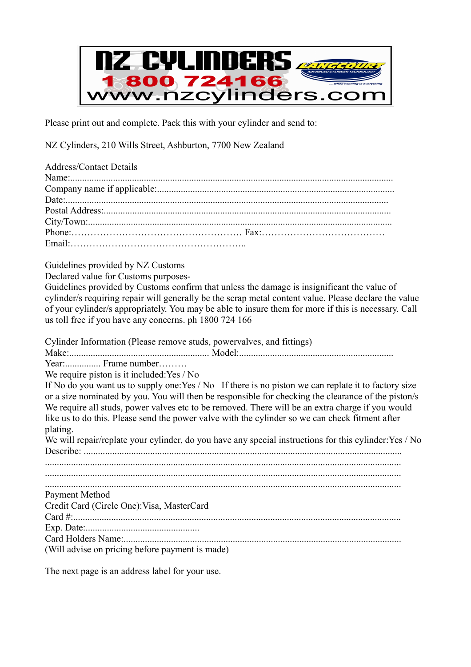

Please print out and complete. Pack this with your cylinder and send to:

NZ Cylinders, 210 Wills Street, Ashburton, 7700 New Zealand

| <b>Address/Contact Details</b> |  |
|--------------------------------|--|
|                                |  |
|                                |  |
|                                |  |
|                                |  |
|                                |  |
|                                |  |
|                                |  |

Guidelines provided by NZ Customs

Declared value for Customs purposes-

Guidelines provided by Customs confirm that unless the damage is insignificant the value of cylinder/s requiring repair will generally be the scrap metal content value. Please declare the value of your cylinder/s appropriately. You may be able to insure them for more if this is necessary. Call us toll free if you have any concerns. ph 1800 724 166

Cylinder Information (Please remove studs, powervalves, and fittings)

Make:........................................................... Model:.................................................................

Year:............... Frame number………

We require piston is it included:Yes / No

If No do you want us to supply one: Yes / No If there is no piston we can replate it to factory size or a size nominated by you. You will then be responsible for checking the clearance of the piston/s We require all studs, power valves etc to be removed. There will be an extra charge if you would like us to do this. Please send the power valve with the cylinder so we can check fitment after plating.

We will repair/replate your cylinder, do you have any special instructions for this cylinder: Yes / No Describe: ......................................................................................................................................

...................................................................................................................................................... Payment Method Credit Card (Circle One):Visa, MasterCard Card #:.......................................................................................................................................... Exp. Date:................................................ Card Holders Name:.....................................................................................................................

(Will advise on pricing before payment is made)

The next page is an address label for your use.